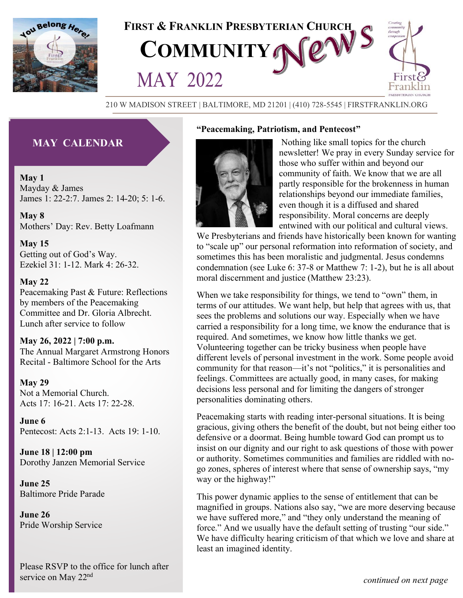



#### 210 W MADISON STREET | BALTIMORE, MD 21201 | (410) 728-5545 | FIRSTFRANKLIN.ORG

**³Peacemaking, Patriotism, and Pentecost´**

## **MAY CALENDAR**

**May 1** Mayday & James James 1: 22-2:7. James 2: 14-20; 5: 1-6.

**May 8** Mothers' Day: Rev. Betty Loafmann

**May 15** Getting out of God's Way. Ezekiel 31: 1-12. Mark 4: 26-32.

#### **May 22**

Peacemaking Past & Future: Reflections by members of the Peacemaking Committee and Dr. Gloria Albrecht. Lunch after service to follow

**May 26, 2022 | 7:00 p.m.**

The Annual Margaret Armstrong Honors Recital - Baltimore School for the Arts

#### **May 29**

Not a Memorial Church. Acts 17: 16-21. Acts 17: 22-28.

**June 6** Pentecost: Acts 2:1-13. Acts 19: 1-10.

**June 18 | 12:00 pm** Dorothy Janzen Memorial Service

**June 25** Baltimore Pride Parade

**June 26** Pride Worship Service



Nothing like small topics for the church newsletter! We pray in every Sunday service for those who suffer within and beyond our community of faith. We know that we are all partly responsible for the brokenness in human relationships beyond our immediate families, even though it is a diffused and shared responsibility. Moral concerns are deeply entwined with our political and cultural views.

We Presbyterians and friends have historically been known for wanting to "scale up" our personal reformation into reformation of society, and sometimes this has been moralistic and judgmental. Jesus condemns condemnation (see Luke 6: 37-8 or Matthew 7: 1-2), but he is all about moral discernment and justice (Matthew 23:23).

When we take responsibility for things, we tend to "own" them, in terms of our attitudes. We want help, but help that agrees with us, that sees the problems and solutions our way. Especially when we have carried a responsibility for a long time, we know the endurance that is required. And sometimes, we know how little thanks we get. Volunteering together can be tricky business when people have different levels of personal investment in the work. Some people avoid community for that reason—it's not "politics," it is personalities and feelings. Committees are actually good, in many cases, for making decisions less personal and for limiting the dangers of stronger personalities dominating others.

Peacemaking starts with reading inter-personal situations. It is being gracious, giving others the benefit of the doubt, but not being either too defensive or a doormat. Being humble toward God can prompt us to insist on our dignity and our right to ask questions of those with power or authority. Sometimes communities and families are riddled with nogo zones, spheres of interest where that sense of ownership says, "my way or the highway!"

This power dynamic applies to the sense of entitlement that can be magnified in groups. Nations also say, "we are more deserving because we have suffered more," and "they only understand the meaning of force." And we usually have the default setting of trusting "our side." We have difficulty hearing criticism of that which we love and share at least an imagined identity.

Please RSVP to the office for lunch after service on May 22<sup>nd</sup>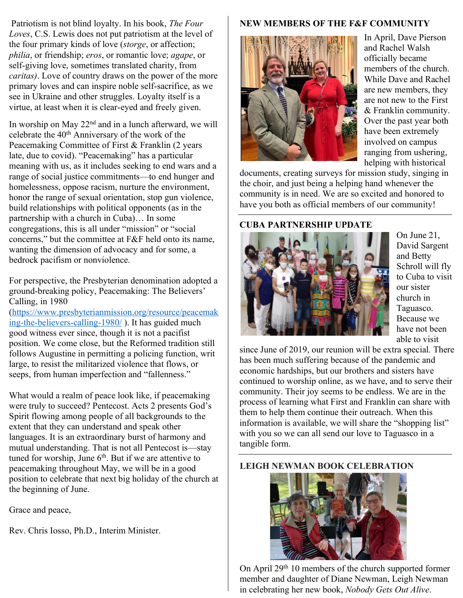Patriotism is not blind loyalty. In his book, *The Four Loves*, C.S. Lewis does not put patriotism at the level of the four primary kinds of love (*storge*, or affection; *philia*, or friendship; *eros*, or romantic love; *agape*, or self-giving love, sometimes translated charity, from *caritas)*. Love of country draws on the power of the more primary loves and can inspire noble self-sacrifice, as we see in Ukraine and other struggles. Loyalty itself is a virtue, at least when it is clear-eyed and freely given.

In worship on May 22<sup>nd</sup> and in a lunch afterward, we will celebrate the 40th Anniversary of the work of the Peacemaking Committee of First & Franklin (2 years late, due to covid). "Peacemaking" has a particular meaning with us, as it includes seeking to end wars and a range of social justice commitments—to end hunger and homelessness, oppose racism, nurture the environment, honor the range of sexual orientation, stop gun violence, build relationships with political opponents (as in the partnership with a church in Cuba)… In some congregations, this is all under "mission" or "social concerns," but the committee at F&F held onto its name, wanting the dimension of advocacy and for some, a bedrock pacifism or nonviolence.

For perspective, the Presbyterian denomination adopted a ground-breaking policy, Peacemaking: The Believers' Calling, in 1980

[\(https://www.presbyterianmission.org/resource/peacemak](https://www.presbyterianmission.org/resource/peacemaking-the-believers-calling-1980/) [ing-the-believers-calling-1980/](https://www.presbyterianmission.org/resource/peacemaking-the-believers-calling-1980/) ). It has guided much good witness ever since, though it is not a pacifist position. We come close, but the Reformed tradition still follows Augustine in permitting a policing function, writ large, to resist the militarized violence that flows, or seeps, from human imperfection and "fallenness."

What would a realm of peace look like, if peacemaking were truly to succeed? Pentecost. Acts 2 presents God's Spirit flowing among people of all backgrounds to the extent that they can understand and speak other languages. It is an extraordinary burst of harmony and mutual understanding. That is not all Pentecost is—stay tuned for worship, June  $6<sup>th</sup>$ . But if we are attentive to peacemaking throughout May, we will be in a good position to celebrate that next big holiday of the church at the beginning of June.

Grace and peace,

Rev. Chris Iosso, Ph.D., Interim Minister.

## **NEW MEMBERS OF THE F&F COMMUNITY**



In April, Dave Pierson and Rachel Walsh officially became members of the church. While Dave and Rachel are new members, they are not new to the First & Franklin community. Over the past year both have been extremely involved on campus ranging from ushering, helping with historical

documents, creating surveys for mission study, singing in the choir, and just being a helping hand whenever the community is in need. We are so excited and honored to have you both as official members of our community!

## **CUBA PARTNERSHIP UPDATE**



On June 21, David Sargent and Betty Schroll will fly to Cuba to visit our sister church in Taguasco. Because we have not been able to visit

since June of 2019, our reunion will be extra special. There has been much suffering because of the pandemic and economic hardships, but our brothers and sisters have continued to worship online, as we have, and to serve their community. Their joy seems to be endless. We are in the process of learning what First and Franklin can share with them to help them continue their outreach. When this information is available, we will share the "shopping list" with you so we can all send our love to Taguasco in a tangible form.

## **LEIGH NEWMAN BOOK CELEBRATION**



On April 29th 10 members of the church supported former member and daughter of Diane Newman, Leigh Newman in celebrating her new book, *Nobody Gets Out Alive*.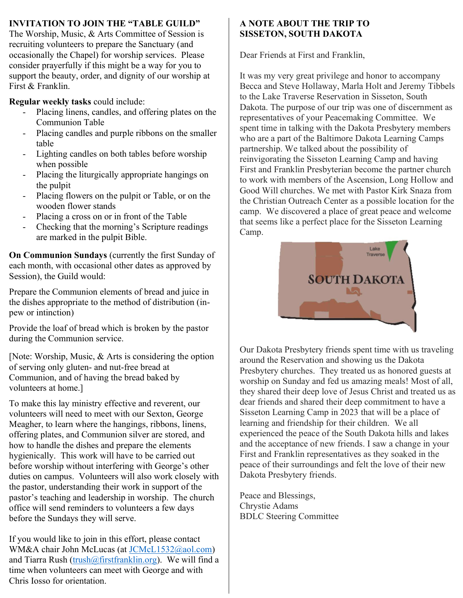## **INVITATION TO JOIN THE "TABLE GUILD"**

The Worship, Music, & Arts Committee of Session is recruiting volunteers to prepare the Sanctuary (and occasionally the Chapel) for worship services. Please consider prayerfully if this might be a way for you to support the beauty, order, and dignity of our worship at First & Franklin.

**Regular weekly tasks** could include:

- Placing linens, candles, and offering plates on the Communion Table
- Placing candles and purple ribbons on the smaller table
- Lighting candles on both tables before worship when possible
- Placing the liturgically appropriate hangings on the pulpit
- Placing flowers on the pulpit or Table, or on the wooden flower stands
- Placing a cross on or in front of the Table
- Checking that the morning's Scripture readings are marked in the pulpit Bible.

**On Communion Sundays** (currently the first Sunday of each month, with occasional other dates as approved by Session), the Guild would:

Prepare the Communion elements of bread and juice in the dishes appropriate to the method of distribution (inpew or intinction)

Provide the loaf of bread which is broken by the pastor during the Communion service.

[Note: Worship, Music, & Arts is considering the option of serving only gluten- and nut-free bread at Communion, and of having the bread baked by volunteers at home.]

To make this lay ministry effective and reverent, our volunteers will need to meet with our Sexton, George Meagher, to learn where the hangings, ribbons, linens, offering plates, and Communion silver are stored, and how to handle the dishes and prepare the elements hygienically. This work will have to be carried out before worship without interfering with George's other duties on campus. Volunteers will also work closely with the pastor, understanding their work in support of the pastor's teaching and leadership in worship. The church office will send reminders to volunteers a few days before the Sundays they will serve.

If you would like to join in this effort, please contact WM&A chair John McLucas (at [JCMcL1532@aol.com\)](mailto:JCMcL1532@aol.com) and Tiarra Rush [\(trush@firstfranklin.org\)](mailto:trush@firstfranklin.org). We will find a time when volunteers can meet with George and with Chris Iosso for orientation.

## **A NOTE ABOUT THE TRIP TO SISSETON, SOUTH DAKOTA**

Dear Friends at First and Franklin,

It was my very great privilege and honor to accompany Becca and Steve Hollaway, Marla Holt and Jeremy Tibbels to the Lake Traverse Reservation in Sisseton, South Dakota. The purpose of our trip was one of discernment as representatives of your Peacemaking Committee. We spent time in talking with the Dakota Presbytery members who are a part of the Baltimore Dakota Learning Camps partnership. We talked about the possibility of reinvigorating the Sisseton Learning Camp and having First and Franklin Presbyterian become the partner church to work with members of the Ascension, Long Hollow and Good Will churches. We met with Pastor Kirk Snaza from the Christian Outreach Center as a possible location for the camp. We discovered a place of great peace and welcome that seems like a perfect place for the Sisseton Learning Camp.



Our Dakota Presbytery friends spent time with us traveling around the Reservation and showing us the Dakota Presbytery churches. They treated us as honored guests at worship on Sunday and fed us amazing meals! Most of all, they shared their deep love of Jesus Christ and treated us as dear friends and shared their deep commitment to have a Sisseton Learning Camp in 2023 that will be a place of learning and friendship for their children. We all experienced the peace of the South Dakota hills and lakes and the acceptance of new friends. I saw a change in your First and Franklin representatives as they soaked in the peace of their surroundings and felt the love of their new Dakota Presbytery friends.

Peace and Blessings, Chrystie Adams BDLC Steering Committee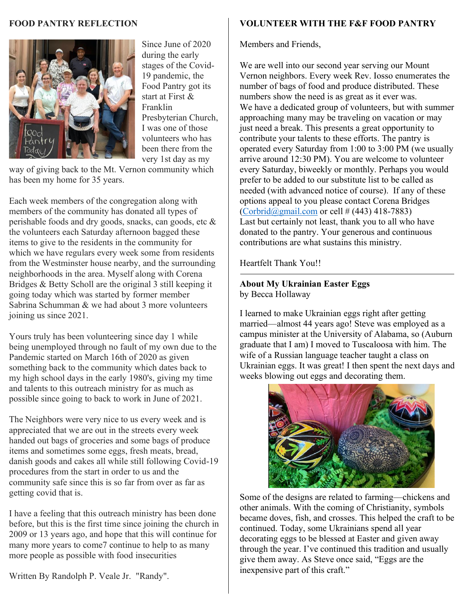#### **FOOD PANTRY REFLECTION**



Since June of 2020 during the early stages of the Covid-19 pandemic, the Food Pantry got its start at First & Franklin Presbyterian Church, I was one of those volunteers who has been there from the very 1st day as my

way of giving back to the Mt. Vernon community which has been my home for 35 years.

Each week members of the congregation along with members of the community has donated all types of perishable foods and dry goods, snacks, can goods, etc & the volunteers each Saturday afternoon bagged these items to give to the residents in the community for which we have regulars every week some from residents from the Westminster house nearby, and the surrounding neighborhoods in the area. Myself along with Corena Bridges & Betty Scholl are the original 3 still keeping it going today which was started by former member Sabrina Schumman & we had about 3 more volunteers joining us since 2021.

Yours truly has been volunteering since day 1 while being unemployed through no fault of my own due to the Pandemic started on March 16th of 2020 as given something back to the community which dates back to my high school days in the early 1980's, giving my time and talents to this outreach ministry for as much as possible since going to back to work in June of 2021.

The Neighbors were very nice to us every week and is appreciated that we are out in the streets every week handed out bags of groceries and some bags of produce items and sometimes some eggs, fresh meats, bread, danish goods and cakes all while still following Covid-19 procedures from the start in order to us and the community safe since this is so far from over as far as getting covid that is.

I have a feeling that this outreach ministry has been done before, but this is the first time since joining the church in 2009 or 13 years ago, and hope that this will continue for many more years to come7 continue to help to as many more people as possible with food insecurities

Written By Randolph P. Veale Jr. "Randy".

## **VOLUNTEER WITH THE F&F FOOD PANTRY**

Members and Friends,

We are well into our second year serving our Mount Vernon neighbors. Every week Rev. Iosso enumerates the number of bags of food and produce distributed. These numbers show the need is as great as it ever was. We have a dedicated group of volunteers, but with summer approaching many may be traveling on vacation or may just need a break. This presents a great opportunity to contribute your talents to these efforts. The pantry is operated every Saturday from 1:00 to 3:00 PM (we usually arrive around 12:30 PM). You are welcome to volunteer every Saturday, biweekly or monthly. Perhaps you would prefer to be added to our substitute list to be called as needed (with advanced notice of course). If any of these options appeal to you please contact Corena Bridges  $\left(\frac{\text{Corbrid}(a)_{\text{small.com}}}{\text{Corbrid}(a)_{\text{small.com}}}$  or cell # (443) 418-7883) Last but certainly not least, thank you to all who have donated to the pantry. Your generous and continuous contributions are what sustains this ministry.

Heartfelt Thank You!!

## **About My Ukrainian Easter Eggs**

by Becca Hollaway

I learned to make Ukrainian eggs right after getting married—almost 44 years ago! Steve was employed as a campus minister at the University of Alabama, so (Auburn graduate that I am) I moved to Tuscaloosa with him. The wife of a Russian language teacher taught a class on Ukrainian eggs. It was great! I then spent the next days and weeks blowing out eggs and decorating them.



Some of the designs are related to farming—chickens and other animals. With the coming of Christianity, symbols became doves, fish, and crosses. This helped the craft to be continued. Today, some Ukrainians spend all year decorating eggs to be blessed at Easter and given away through the year. I've continued this tradition and usually give them away. As Steve once said, "Eggs are the inexpensive part of this craft."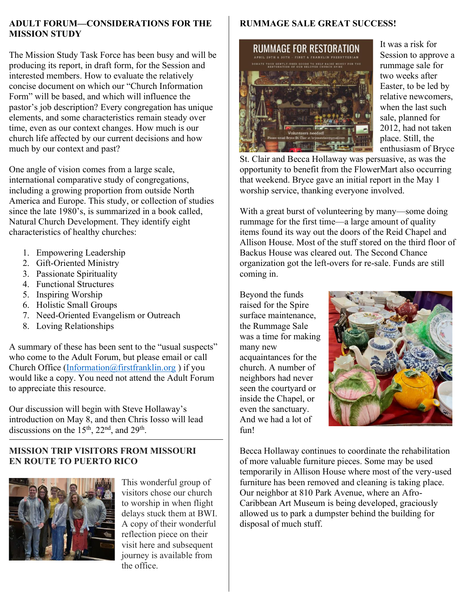### **ADULT FORUM—CONSIDERATIONS FOR THE MISSION STUDY**

The Mission Study Task Force has been busy and will be producing its report, in draft form, for the Session and interested members. How to evaluate the relatively concise document on which our "Church Information Form" will be based, and which will influence the pastor's job description? Every congregation has unique elements, and some characteristics remain steady over time, even as our context changes. How much is our church life affected by our current decisions and how much by our context and past?

One angle of vision comes from a large scale, international comparative study of congregations, including a growing proportion from outside North America and Europe. This study, or collection of studies since the late  $1980$ 's, is summarized in a book called, Natural Church Development. They identify eight characteristics of healthy churches:

- 1. Empowering Leadership
- 2. Gift-Oriented Ministry
- 3. Passionate Spirituality
- 4. Functional Structures
- 5. Inspiring Worship
- 6. Holistic Small Groups
- 7. Need-Oriented Evangelism or Outreach
- 8. Loving Relationships

A summary of these has been sent to the "usual suspects´ who come to the Adult Forum, but please email or call Church Office [\(Information@firstfranklin.org](mailto:Information@firstfranklin.org) ) if you would like a copy. You need not attend the Adult Forum to appreciate this resource.

Our discussion will begin with Steve Hollaway's introduction on May 8, and then Chris Iosso will lead discussions on the 15<sup>th</sup>, 22<sup>nd</sup>, and 29<sup>th</sup>.

## **MISSION TRIP VISITORS FROM MISSOURI EN ROUTE TO PUERTO RICO**



This wonderful group of visitors chose our church to worship in when flight delays stuck them at BWI. A copy of their wonderful reflection piece on their visit here and subsequent journey is available from the office.

# **RUMMAGE SALE GREAT SUCCESS!**



It was a risk for Session to approve a rummage sale for two weeks after Easter, to be led by relative newcomers, when the last such sale, planned for 2012, had not taken place. Still, the enthusiasm of Bryce

St. Clair and Becca Hollaway was persuasive, as was the opportunity to benefit from the FlowerMart also occurring that weekend. Bryce gave an initial report in the May 1 worship service, thanking everyone involved.

With a great burst of volunteering by many—some doing rummage for the first time—a large amount of quality items found its way out the doors of the Reid Chapel and Allison House. Most of the stuff stored on the third floor of Backus House was cleared out. The Second Chance organization got the left-overs for re-sale. Funds are still coming in.

Beyond the funds raised for the Spire surface maintenance, the Rummage Sale was a time for making many new acquaintances for the church. A number of neighbors had never seen the courtyard or inside the Chapel, or even the sanctuary. And we had a lot of fun!



Becca Hollaway continues to coordinate the rehabilitation of more valuable furniture pieces. Some may be used temporarily in Allison House where most of the very-used furniture has been removed and cleaning is taking place. Our neighbor at 810 Park Avenue, where an Afro-Caribbean Art Museum is being developed, graciously allowed us to park a dumpster behind the building for disposal of much stuff.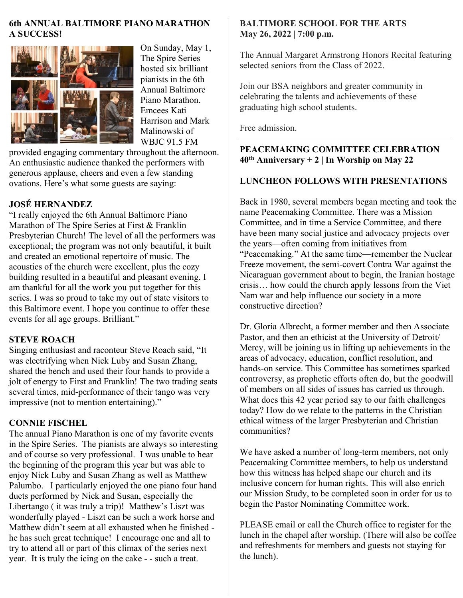### **6th ANNUAL BALTIMORE PIANO MARATHON A SUCCESS!**



On Sunday, May 1, The Spire Series hosted six brilliant pianists in the 6th Annual Baltimore Piano Marathon. Emcees Kati Harrison and Mark Malinowski of WBJC 91.5 FM

provided engaging commentary throughout the afternoon. An enthusiastic audience thanked the performers with generous applause, cheers and even a few standing ovations. Here's what some guests are saying:

## **JOSÉ HERNANDEZ**

"I really enjoyed the 6th Annual Baltimore Piano Marathon of The Spire Series at First & Franklin Presbyterian Church! The level of all the performers was exceptional; the program was not only beautiful, it built and created an emotional repertoire of music. The acoustics of the church were excellent, plus the cozy building resulted in a beautiful and pleasant evening. I am thankful for all the work you put together for this series. I was so proud to take my out of state visitors to this Baltimore event. I hope you continue to offer these events for all age groups. Brilliant."

### **STEVE ROACH**

Singing enthusiast and raconteur Steve Roach said, "It was electrifying when Nick Luby and Susan Zhang, shared the bench and used their four hands to provide a jolt of energy to First and Franklin! The two trading seats several times, mid-performance of their tango was very impressive (not to mention entertaining)."

### **CONNIE FISCHEL**

The annual Piano Marathon is one of my favorite events in the Spire Series. The pianists are always so interesting and of course so very professional. I was unable to hear the beginning of the program this year but was able to enjoy Nick Luby and Susan Zhang as well as Matthew Palumbo. I particularly enjoyed the one piano four hand duets performed by Nick and Susan, especially the Libertango ( it was truly a trip)! Matthew's Liszt was wonderfully played - Liszt can be such a work horse and Matthew didn't seem at all exhausted when he finished he has such great technique! I encourage one and all to try to attend all or part of this climax of the series next year. It is truly the icing on the cake - - such a treat.

### **BALTIMORE SCHOOL FOR THE ARTS May 26, 2022 | 7:00 p.m.**

The Annual Margaret Armstrong Honors Recital featuring selected seniors from the Class of 2022.

Join our BSA neighbors and greater community in celebrating the talents and achievements of these graduating high school students.

Free admission.

## **PEACEMAKING COMMITTEE CELEBRATION 40th Anniversary + 2 | In Worship on May 22**

## **LUNCHEON FOLLOWS WITH PRESENTATIONS**

Back in 1980, several members began meeting and took the name Peacemaking Committee. There was a Mission Committee, and in time a Service Committee, and there have been many social justice and advocacy projects over the years—often coming from initiatives from "Peacemaking.´ At the same time—remember the Nuclear Freeze movement, the semi-covert Contra War against the Nicaraguan government about to begin, the Iranian hostage crisis… how could the church apply lessons from the Viet Nam war and help influence our society in a more constructive direction?

Dr. Gloria Albrecht, a former member and then Associate Pastor, and then an ethicist at the University of Detroit/ Mercy, will be joining us in lifting up achievements in the areas of advocacy, education, conflict resolution, and hands-on service. This Committee has sometimes sparked controversy, as prophetic efforts often do, but the goodwill of members on all sides of issues has carried us through. What does this 42 year period say to our faith challenges today? How do we relate to the patterns in the Christian ethical witness of the larger Presbyterian and Christian communities?

We have asked a number of long-term members, not only Peacemaking Committee members, to help us understand how this witness has helped shape our church and its inclusive concern for human rights. This will also enrich our Mission Study, to be completed soon in order for us to begin the Pastor Nominating Committee work.

PLEASE email or call the Church office to register for the lunch in the chapel after worship. (There will also be coffee and refreshments for members and guests not staying for the lunch).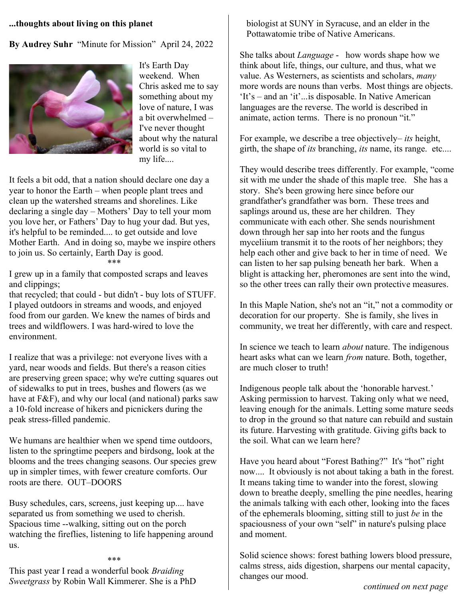#### **...thoughts about living on this planet**

By Audrey Suhr "Minute for Mission" April 24, 2022



It's Earth Day weekend. When Chris asked me to say something about my love of nature, I was a bit overwhelmed – I've never thought about why the natural world is so vital to my life....

It feels a bit odd, that a nation should declare one day a year to honor the Earth – when people plant trees and clean up the watershed streams and shorelines. Like declaring a single day – Mothers' Day to tell your mom you love her, or Fathers' Day to hug your dad. But yes, it's helpful to be reminded.... to get outside and love Mother Earth. And in doing so, maybe we inspire others to join us. So certainly, Earth Day is good.

\*\*\*

I grew up in a family that composted scraps and leaves and clippings;

that recycled; that could - but didn't - buy lots of STUFF. I played outdoors in streams and woods, and enjoyed food from our garden. We knew the names of birds and trees and wildflowers. I was hard-wired to love the environment.

I realize that was a privilege: not everyone lives with a yard, near woods and fields. But there's a reason cities are preserving green space; why we're cutting squares out of sidewalks to put in trees, bushes and flowers (as we have at F&F), and why our local (and national) parks saw a 10-fold increase of hikers and picnickers during the peak stress-filled pandemic.

We humans are healthier when we spend time outdoors, listen to the springtime peepers and birdsong, look at the blooms and the trees changing seasons. Our species grew up in simpler times, with fewer creature comforts. Our roots are there. OUT–DOORS

Busy schedules, cars, screens, just keeping up.... have separated us from something we used to cherish. Spacious time --walking, sitting out on the porch watching the fireflies, listening to life happening around us.

\*\*\*

This past year I read a wonderful book *Braiding Sweetgrass* by Robin Wall Kimmerer. She is a PhD biologist at SUNY in Syracuse, and an elder in the Pottawatomie tribe of Native Americans.

She talks about *Language* - how words shape how we think about life, things, our culture, and thus, what we value. As Westerners, as scientists and scholars, *many* more words are nouns than verbs. Most things are objects.  $It's - and an 'it'...is disposeable. In Native American$ languages are the reverse. The world is described in animate, action terms. There is no pronoun "it."

For example, we describe a tree objectively– *its* height, girth, the shape of *its* branching, *its* name, its range. etc....

They would describe trees differently. For example, "come sit with me under the shade of this maple tree. She has a story. She's been growing here since before our grandfather's grandfather was born. These trees and saplings around us, these are her children. They communicate with each other. She sends nourishment down through her sap into her roots and the fungus myceliium transmit it to the roots of her neighbors; they help each other and give back to her in time of need. We can listen to her sap pulsing beneath her bark. When a blight is attacking her, pheromones are sent into the wind, so the other trees can rally their own protective measures.

In this Maple Nation, she's not an "it," not a commodity or decoration for our property. She is family, she lives in community, we treat her differently, with care and respect.

In science we teach to learn *about* nature. The indigenous heart asks what can we learn *from* nature. Both, together, are much closer to truth!

Indigenous people talk about the 'honorable harvest.' Asking permission to harvest. Taking only what we need, leaving enough for the animals. Letting some mature seeds to drop in the ground so that nature can rebuild and sustain its future. Harvesting with gratitude. Giving gifts back to the soil. What can we learn here?

Have you heard about "Forest Bathing?" It's "hot" right now.... It obviously is not about taking a bath in the forest. It means taking time to wander into the forest, slowing down to breathe deeply, smelling the pine needles, hearing the animals talking with each other, looking into the faces of the ephemerals blooming, sitting still to just *be* in the spaciousness of your own "self" in nature's pulsing place and moment.

Solid science shows: forest bathing lowers blood pressure, calms stress, aids digestion, sharpens our mental capacity, changes our mood.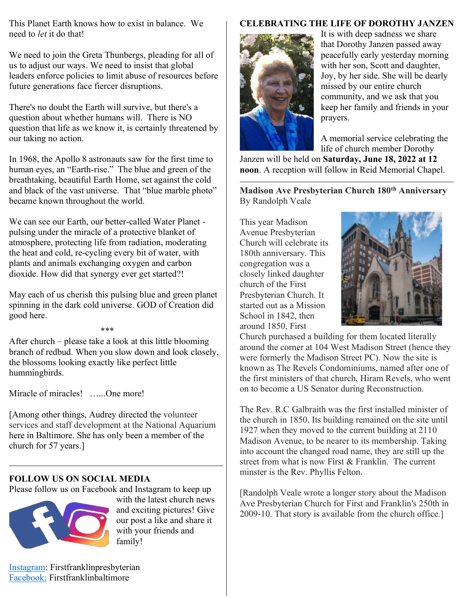This Planet Earth knows how to exist in balance. We need to *let* it do that!

We need to join the Greta Thunbergs, pleading for all of us to adjust our ways. We need to insist that global leaders enforce policies to limit abuse of resources before future generations face fiercer disruptions.

There's no doubt the Earth will survive, but there's a question about whether humans will. There is NO question that life as we know it, is certainly threatened by our taking no action.

In 1968, the Apollo 8 astronauts saw for the first time to human eyes, an "Earth-rise." The blue and green of the breathtaking, beautiful Earth Home, set against the cold and black of the vast universe. That "blue marble photo" became known throughout the world.

We can see our Earth, our better-called Water Planet pulsing under the miracle of a protective blanket of atmosphere, protecting life from radiation, moderating the heat and cold, re-cycling every bit of water, with plants and animals exchanging oxygen and carbon dioxide. How did that synergy ever get started?!

May each of us cherish this pulsing blue and green planet spinning in the dark cold universe. GOD of Creation did good here.

## \*\*\*

After church – please take a look at this little blooming branch of redbud. When you slow down and look closely, the blossoms looking exactly like perfect little hummingbirds.

Miracle of miracles! ......One more!

[Among other things, Audrey directed the volunteer services and staff development at the National Aquarium here in Baltimore. She has only been a member of the church for 57 years.]

### **FOLLOW US ON SOCIAL MEDIA**

Please follow us on Facebook and Instagram to keep up



with the latest church news and exciting pictures! Give our post a like and share it with your friends and family!

# **CELEBRATING THE LIFE OF DOROTHY JANZEN**



It is with deep sadness we share that Dorothy Janzen passed away peacefully early yesterday morning with her son, Scott and daughter, Joy, by her side. She will be dearly missed by our entire church community, and we ask that you keep her family and friends in your prayers.

A memorial service celebrating the life of church member Dorothy

Janzen will be held on **Saturday, June 18, 2022 at 12 noon**. A reception will follow in Reid Memorial Chapel.

**Madison Ave Presbyterian Church 180th Anniversary** By Randolph Veale

This year Madison Avenue Presbyterian Church will celebrate its 180th anniversary. This congregation was a closely linked daughter church of the First Presbyterian Church. It started out as a Mission School in 1842, then around 1850, First



Church purchased a building for them located literally around the corner at 104 West Madison Street (hence they were formerly the Madison Street PC). Now the site is known as The Revels Condominiums, named after one of the first ministers of that church, Hiram Revels, who went on to become a US Senator during Reconstruction.

The Rev. R.C Galbraith was the first installed minister of the church in 1850. Its building remained on the site until 1927 when they moved to the current building at 2110 Madison Avenue, to be nearer to its membership. Taking into account the changed road name, they are still up the street from what is now First & Franklin. The current minster is the Rev. Phyllis Felton.

[Randolph Veale wrote a longer story about the Madison Ave Presbyterian Church for First and Franklin's 250th in 2009-10. That story is available from the church office.]

[Instagram:](https://www.instagram.com/firstfranklinpresbyterian/) Firstfranklinpresbyterian [Facebook:](https://www.facebook.com/firstfranklinbaltimore/) Firstfranklinbaltimore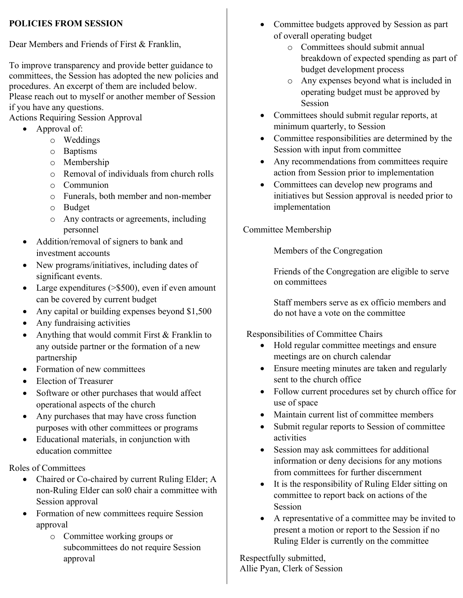## **POLICIES FROM SESSION**

Dear Members and Friends of First & Franklin,

To improve transparency and provide better guidance to committees, the Session has adopted the new policies and procedures. An excerpt of them are included below. Please reach out to myself or another member of Session if you have any questions.

Actions Requiring Session Approval

- $\bullet$  Approval of:
	- o Weddings
	- o Baptisms
	- o Membership
	- o Removal of individuals from church rolls
	- o Communion
	- o Funerals, both member and non-member
	- o Budget
	- o Any contracts or agreements, including personnel
- Addition/removal of signers to bank and investment accounts
- New programs/initiatives, including dates of significant events.
- Large expenditures ( $> $500$ ), even if even amount can be covered by current budget
- Any capital or building expenses beyond  $$1,500$
- Any fundraising activities
- Anything that would commit First  $&$  Franklin to any outside partner or the formation of a new partnership
- Formation of new committees
- Election of Treasurer
- Software or other purchases that would affect operational aspects of the church
- Any purchases that may have cross function purposes with other committees or programs
- Educational materials, in conjunction with education committee

Roles of Committees

- Chaired or Co-chaired by current Ruling Elder; A non-Ruling Elder can sol0 chair a committee with Session approval
- Formation of new committees require Session approval
	- o Committee working groups or subcommittees do not require Session approval
- Committee budgets approved by Session as part of overall operating budget
	- o Committees should submit annual breakdown of expected spending as part of budget development process
	- o Any expenses beyond what is included in operating budget must be approved by Session
- Committees should submit regular reports, at minimum quarterly, to Session
- Committee responsibilities are determined by the Session with input from committee
- Any recommendations from committees require action from Session prior to implementation
- Committees can develop new programs and initiatives but Session approval is needed prior to implementation

Committee Membership

Members of the Congregation

Friends of the Congregation are eligible to serve on committees

Staff members serve as ex officio members and do not have a vote on the committee

# Responsibilities of Committee Chairs

- Hold regular committee meetings and ensure meetings are on church calendar
- Ensure meeting minutes are taken and regularly sent to the church office
- Follow current procedures set by church office for use of space
- Maintain current list of committee members
- Submit regular reports to Session of committee activities
- Session may ask committees for additional information or deny decisions for any motions from committees for further discernment
- $\bullet$  It is the responsibility of Ruling Elder sitting on committee to report back on actions of the Session
- A representative of a committee may be invited to present a motion or report to the Session if no Ruling Elder is currently on the committee

Respectfully submitted, Allie Pyan, Clerk of Session